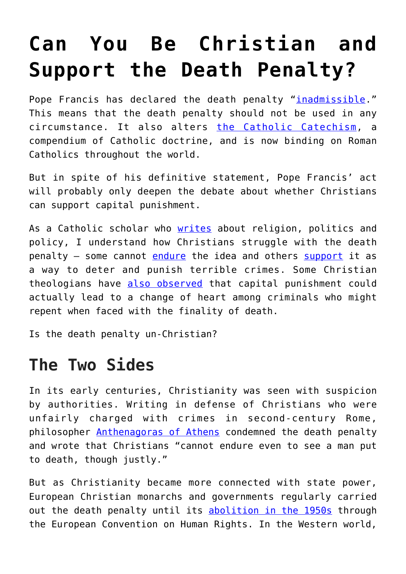## **[Can You Be Christian and](https://intellectualtakeout.org/2018/08/can-you-be-christian-and-support-the-death-penalty/) [Support the Death Penalty?](https://intellectualtakeout.org/2018/08/can-you-be-christian-and-support-the-death-penalty/)**

Pope Francis has declared the death penalty "*[inadmissible](https://www.nytimes.com/2018/08/02/world/europe/pope-death-penalty.html).*" This means that the death penalty should not be used in any circumstance. It also alters [the Catholic Catechism](http://www.vatican.va/archive/ENG0015/_INDEX.HTM), a compendium of Catholic doctrine, and is now binding on Roman Catholics throughout the world.

But in spite of his definitive statement, Pope Francis' act will probably only deepen the debate about whether Christians can support capital punishment.

As a Catholic scholar who [writes](https://scholar.google.com/scholar?hl=en&as_sdt=0%2C22&q=mathew+schmalz&oq=mathew+schm) about religion, politics and policy, I understand how Christians struggle with the death penalty – some cannot [endure](https://themennonite.org/feature/early-challenges-capital-punishment/) the idea and others [support](https://www.thecatholicthing.org/2015/03/16/the-traditional-case-for-capital-punishment/) it as a way to deter and punish terrible crimes. Some Christian theologians have [also observed](https://www.firstthings.com/article/2001/04/catholicism-amp-capital-punishment) that capital punishment could actually lead to a change of heart among criminals who might repent when faced with the finality of death.

Is the death penalty un-Christian?

## **The Two Sides**

In its early centuries, Christianity was seen with suspicion by authorities. Writing in defense of Christians who were unfairly charged with crimes in second-century Rome, philosopher [Anthenagoras of Athens](http://www.earlychristianwritings.com/text/athenagoras-plea.html) condemned the death penalty and wrote that Christians "cannot endure even to see a man put to death, though justly."

But as Christianity became more connected with state power, European Christian monarchs and governments regularly carried out the death penalty until its [abolition in the 1950s](http://www.echr.coe.int/Documents/Library_Collection_P6_ETS114E_ENG.pdf) through the European Convention on Human Rights. In the Western world,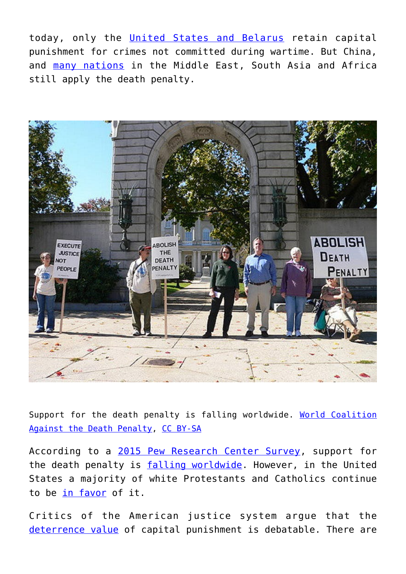today, only the [United States and Belarus](http://www.telegraph.co.uk/travel/maps-and-graphics/countries-that-still-have-the-death-penalty/) retain capital punishment for crimes not committed during wartime. But China, and [many nations](https://www.telegraph.co.uk/travel/maps-and-graphics/countries-that-still-have-the-death-penalty/) in the Middle East, South Asia and Africa still apply the death penalty.



Support for the death penalty is falling worldwide. [World Coalition](https://www.flickr.com/photos/death_penalty/2937014575/in/photolist-5twY7k-5twY8n-fFT65t-813yfq-Kx9TD-9DzEsj-poByNB-8iXGMk-pF8eu5-pF3YJe-cyXWLJ-pF3XUt-am3ELd-poDwNd-duVETN-p7gWwG-pCXtVf-cMrv1h-nGbnT3-4DZ2wd-9r5HDb-eZbScr-8jPh8h-eZH7J-21CetV-4McWq3-poDxjo-oJctxQ-aMeSDt-51k2hN-aynBpn-osEPKU-pF8dEu-oJct5W-8LYokp-acLEzH-8j1ZMd-Kx4iG-7CLrDR-eza2oB-nFANSF-9QSCGn-diNRn6-diNRyK-diNU2H-aSPx1F-92dZud-poByZt-8vbDmd-pF8euW) [Against the Death Penalty](https://www.flickr.com/photos/death_penalty/2937014575/in/photolist-5twY7k-5twY8n-fFT65t-813yfq-Kx9TD-9DzEsj-poByNB-8iXGMk-pF8eu5-pF3YJe-cyXWLJ-pF3XUt-am3ELd-poDwNd-duVETN-p7gWwG-pCXtVf-cMrv1h-nGbnT3-4DZ2wd-9r5HDb-eZbScr-8jPh8h-eZH7J-21CetV-4McWq3-poDxjo-oJctxQ-aMeSDt-51k2hN-aynBpn-osEPKU-pF8dEu-oJct5W-8LYokp-acLEzH-8j1ZMd-Kx4iG-7CLrDR-eza2oB-nFANSF-9QSCGn-diNRn6-diNRyK-diNU2H-aSPx1F-92dZud-poByZt-8vbDmd-pF8euW), [CC BY-SA](http://creativecommons.org/licenses/by-sa/4.0/)

According to a [2015 Pew Research Center Survey,](http://www.pewresearch.org/fact-tank/2015/07/13/some-major-u-s-religious-groups-differ-from-their-members-on-the-death-penalty/) support for the death penalty is [falling worldwide](https://deathpenaltyinfo.org/international-polls-and-studies-0). However, in the United States a majority of white Protestants and Catholics continue to be [in favor](https://www.jstor.org/stable/10.1111/1468-2508.t01-2-00006?seq=1#page_scan_tab_contents) of it.

Critics of the American justice system argue that the [deterrence value](http://deathpenalty.procon.org/view.answers.php?questionID=000983) of capital punishment is debatable. There are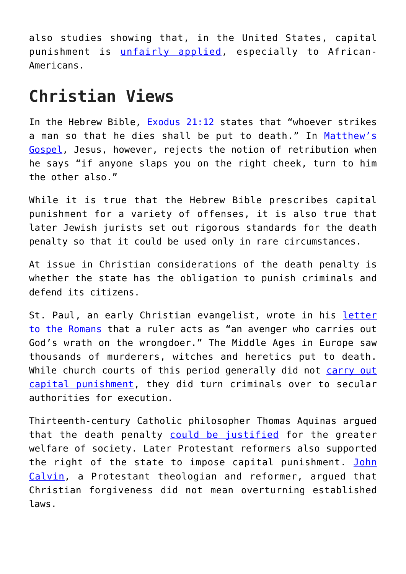also studies showing that, in the United States, capital punishment is [unfairly applied](http://www.ncadp.org/pages/racial-bias), especially to African-Americans.

## **Christian Views**

In the Hebrew Bible, [Exodus 21:12](https://www.biblegateway.com/passage/?search=Exodus+21%3A12&version=ESV) states that "whoever strikes a man so that he dies shall be put to death." In [Matthew's](https://www.biblegateway.com/passage/?search=Matthew+5%3A38-39&version=ESV) [Gospel,](https://www.biblegateway.com/passage/?search=Matthew+5%3A38-39&version=ESV) Jesus, however, rejects the notion of retribution when he says "if anyone slaps you on the right cheek, turn to him the other also."

While it is true that the Hebrew Bible prescribes capital punishment for a variety of offenses, it is also true that later Jewish jurists set out rigorous standards for the death penalty so that it could be used only in rare circumstances.

At issue in Christian considerations of the death penalty is whether the state has the obligation to punish criminals and defend its citizens.

St. Paul, an early Christian evangelist, wrote in his [letter](https://www.biblegateway.com/passage/?search=Romans+13&version=ESV) [to the Romans](https://www.biblegateway.com/passage/?search=Romans+13&version=ESV) that a ruler acts as "an avenger who carries out God's wrath on the wrongdoer." The Middle Ages in Europe saw thousands of murderers, witches and heretics put to death. While church courts of this period generally did not [carry out](http://www.historytoday.com/sean-mcglynn/violence-and-law-medieval-england) [capital punishment,](http://www.historytoday.com/sean-mcglynn/violence-and-law-medieval-england) they did turn criminals over to secular authorities for execution.

Thirteenth-century Catholic philosopher Thomas Aquinas argued that the death penalty [could be justified](http://www.aquinasonline.com/Questions/cappunsh.html) for the greater welfare of society. Later Protestant reformers also supported the right of the state to impose capital punishment. [John](http://www.ccel.org/ccel/calvin/calcom34.xiv.i.html) [Calvin,](http://www.ccel.org/ccel/calvin/calcom34.xiv.i.html) a Protestant theologian and reformer, argued that Christian forgiveness did not mean overturning established laws.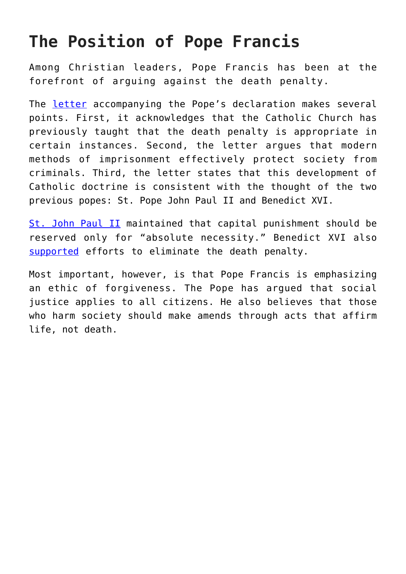## **The Position of Pope Francis**

Among Christian leaders, Pope Francis has been at the forefront of arguing against the death penalty.

The [letter](http://www.ncregister.com/daily-news/vatican-draft-alters-catechism-wording-on-capital-punishment-calling-it-ina) accompanying the Pope's declaration makes several points. First, it acknowledges that the Catholic Church has previously taught that the death penalty is appropriate in certain instances. Second, the letter argues that modern methods of imprisonment effectively protect society from criminals. Third, the letter states that this development of Catholic doctrine is consistent with the thought of the two previous popes: St. Pope John Paul II and Benedict XVI.

[St. John Paul II](http://w2.vatican.va/content/john-paul-ii/en/encyclicals/documents/hf_jp-ii_enc_25031995_evangelium-vitae.html) maintained that capital punishment should be reserved only for "absolute necessity." Benedict XVI also [supported](http://archive.santegidio.org/pageID/64/langID/ro/itemID/8704/.html) efforts to eliminate the death penalty.

Most important, however, is that Pope Francis is emphasizing an ethic of forgiveness. The Pope has argued that social justice applies to all citizens. He also believes that those who harm society should make amends through acts that affirm life, not death.